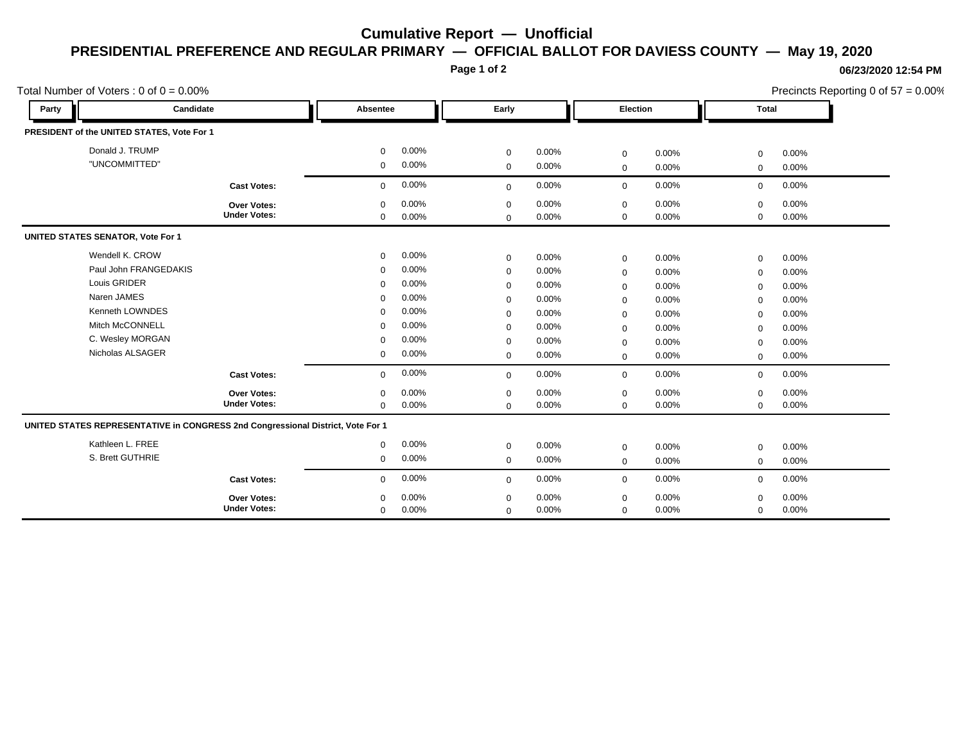## **Cumulative Report — Unofficial PRESIDENTIAL PREFERENCE AND REGULAR PRIMARY — OFFICIAL BALLOT FOR DAVIESS COUNTY — May 19, 2020**

**Page 1 of 2**

## **06/23/2020 12:54 PM**

Precincts Reporting 0 of 57 = 0.00%

|                                          | Total Number of Voters : $0$ of $0 = 0.00\%$                                    |                     |             |          |             |          |             | Precincts Reporting 0 of 57 = 0.00% |              |       |
|------------------------------------------|---------------------------------------------------------------------------------|---------------------|-------------|----------|-------------|----------|-------------|-------------------------------------|--------------|-------|
| Party                                    | Candidate                                                                       |                     | Absentee    |          | Early       |          | Election    |                                     | <b>Total</b> |       |
|                                          | PRESIDENT of the UNITED STATES, Vote For 1                                      |                     |             |          |             |          |             |                                     |              |       |
|                                          | Donald J. TRUMP                                                                 |                     | $\mathbf 0$ | 0.00%    | $\mathbf 0$ | 0.00%    | 0           | 0.00%                               | $\mathbf 0$  | 0.00% |
|                                          | "UNCOMMITTED"                                                                   |                     | 0           | 0.00%    | $\mathbf 0$ | 0.00%    | $\mathbf 0$ | 0.00%                               | $\mathbf 0$  | 0.00% |
|                                          |                                                                                 | <b>Cast Votes:</b>  | $\mathbf 0$ | 0.00%    | $\mathbf 0$ | 0.00%    | $\mathbf 0$ | 0.00%                               | $\mathbf 0$  | 0.00% |
|                                          |                                                                                 | Over Votes:         | $\mathbf 0$ | 0.00%    | $\mathbf 0$ | 0.00%    | 0           | 0.00%                               | $\Omega$     | 0.00% |
|                                          |                                                                                 | <b>Under Votes:</b> | $\mathbf 0$ | 0.00%    | $\Omega$    | 0.00%    | $\mathbf 0$ | 0.00%                               | $\Omega$     | 0.00% |
| <b>UNITED STATES SENATOR, Vote For 1</b> |                                                                                 |                     |             |          |             |          |             |                                     |              |       |
|                                          | Wendell K. CROW                                                                 |                     | $\mathbf 0$ | 0.00%    | $\mathbf 0$ | 0.00%    | $\mathbf 0$ | 0.00%                               | $\mathbf 0$  | 0.00% |
|                                          | Paul John FRANGEDAKIS                                                           |                     | $\mathbf 0$ | 0.00%    | $\mathbf 0$ | 0.00%    | $\mathbf 0$ | 0.00%                               | $\mathbf 0$  | 0.00% |
|                                          | Louis GRIDER                                                                    |                     | $\mathbf 0$ | 0.00%    | $\mathbf 0$ | $0.00\%$ | $\mathbf 0$ | 0.00%                               | $\mathbf 0$  | 0.00% |
|                                          | Naren JAMES                                                                     |                     | $\mathbf 0$ | 0.00%    | $\mathbf 0$ | 0.00%    | 0           | 0.00%                               | $\Omega$     | 0.00% |
|                                          | Kenneth LOWNDES                                                                 |                     | $\Omega$    | 0.00%    | $\mathbf 0$ | 0.00%    | $\mathbf 0$ | 0.00%                               | $\mathbf 0$  | 0.00% |
|                                          | Mitch McCONNELL                                                                 |                     | $\Omega$    | 0.00%    | $\mathbf 0$ | 0.00%    | 0           | 0.00%                               | $\mathbf 0$  | 0.00% |
|                                          | C. Wesley MORGAN                                                                |                     | $\mathbf 0$ | 0.00%    | $\mathbf 0$ | 0.00%    | $\mathbf 0$ | $0.00\%$                            | $\Omega$     | 0.00% |
|                                          | Nicholas ALSAGER                                                                |                     | 0           | 0.00%    | $\mathbf 0$ | 0.00%    | $\mathbf 0$ | 0.00%                               | $\Omega$     | 0.00% |
|                                          |                                                                                 | <b>Cast Votes:</b>  | $\Omega$    | 0.00%    | $\mathbf 0$ | 0.00%    | $\mathbf 0$ | 0.00%                               | $\mathbf 0$  | 0.00% |
|                                          |                                                                                 | Over Votes:         | $\mathbf 0$ | 0.00%    | $\mathbf 0$ | 0.00%    | 0           | 0.00%                               | $\mathbf 0$  | 0.00% |
|                                          |                                                                                 | <b>Under Votes:</b> | $\mathbf 0$ | 0.00%    | $\mathbf 0$ | 0.00%    | $\mathbf 0$ | 0.00%                               | $\mathbf 0$  | 0.00% |
|                                          | UNITED STATES REPRESENTATIVE in CONGRESS 2nd Congressional District, Vote For 1 |                     |             |          |             |          |             |                                     |              |       |
|                                          | Kathleen L. FREE                                                                |                     | 0           | 0.00%    | $\mathbf 0$ | 0.00%    | $\mathbf 0$ | 0.00%                               | $\mathbf 0$  | 0.00% |
|                                          | S. Brett GUTHRIE                                                                |                     | $\mathbf 0$ | 0.00%    | $\mathbf 0$ | 0.00%    | $\mathbf 0$ | 0.00%                               | $\mathbf 0$  | 0.00% |
|                                          |                                                                                 | <b>Cast Votes:</b>  | $\mathbf 0$ | 0.00%    | $\mathbf 0$ | 0.00%    | $\mathbf 0$ | 0.00%                               | $\mathbf 0$  | 0.00% |
|                                          |                                                                                 | <b>Over Votes:</b>  | $\mathbf 0$ | $0.00\%$ | $\mathbf 0$ | 0.00%    | 0           | 0.00%                               | $\mathbf 0$  | 0.00% |
|                                          |                                                                                 | <b>Under Votes:</b> | 0           | 0.00%    | $\mathbf 0$ | 0.00%    | $\mathbf 0$ | 0.00%                               | $\mathbf 0$  | 0.00% |